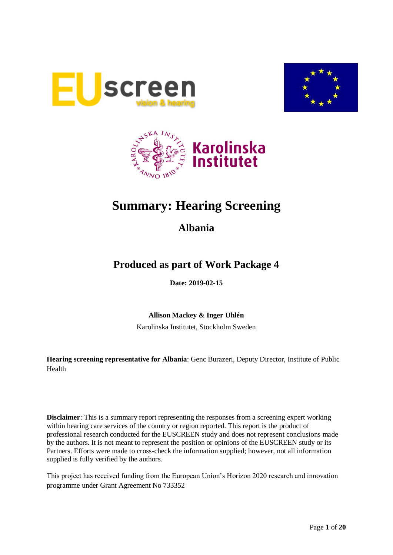





# **Summary: Hearing Screening**

## **Albania**

## **Produced as part of Work Package 4**

**Date: 2019-02-15**

**Allison Mackey & Inger Uhlén**

Karolinska Institutet, Stockholm Sweden

**Hearing screening representative for Albania**: Genc Burazeri, Deputy Director, Institute of Public Health

**Disclaimer**: This is a summary report representing the responses from a screening expert working within hearing care services of the country or region reported. This report is the product of professional research conducted for the EUSCREEN study and does not represent conclusions made by the authors. It is not meant to represent the position or opinions of the EUSCREEN study or its Partners. Efforts were made to cross-check the information supplied; however, not all information supplied is fully verified by the authors.

This project has received funding from the European Union's Horizon 2020 research and innovation programme under Grant Agreement No 733352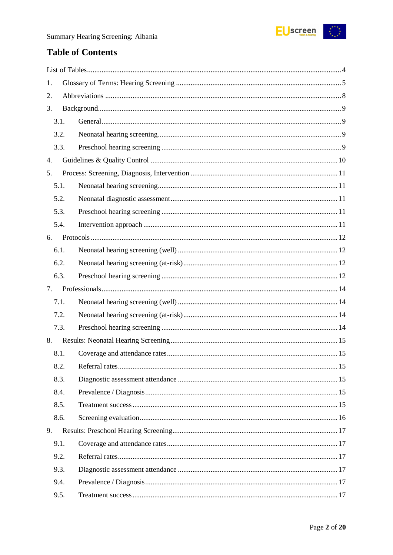

## **Table of Contents**

| 1. |      |  |  |
|----|------|--|--|
| 2. |      |  |  |
| 3. |      |  |  |
|    | 3.1. |  |  |
|    | 3.2. |  |  |
|    | 3.3. |  |  |
| 4. |      |  |  |
| 5. |      |  |  |
|    | 5.1. |  |  |
|    | 5.2. |  |  |
|    | 5.3. |  |  |
|    | 5.4. |  |  |
| 6. |      |  |  |
|    | 6.1. |  |  |
|    | 6.2. |  |  |
|    | 6.3. |  |  |
| 7. |      |  |  |
|    | 7.1. |  |  |
|    | 7.2. |  |  |
|    | 7.3. |  |  |
| 8. |      |  |  |
|    | 8.1. |  |  |
|    | 8.2. |  |  |
|    | 8.3. |  |  |
|    | 8.4. |  |  |
|    | 8.5. |  |  |
|    | 8.6. |  |  |
| 9. |      |  |  |
|    | 9.1. |  |  |
|    | 9.2. |  |  |
|    | 9.3. |  |  |
|    | 9.4. |  |  |
|    | 9.5. |  |  |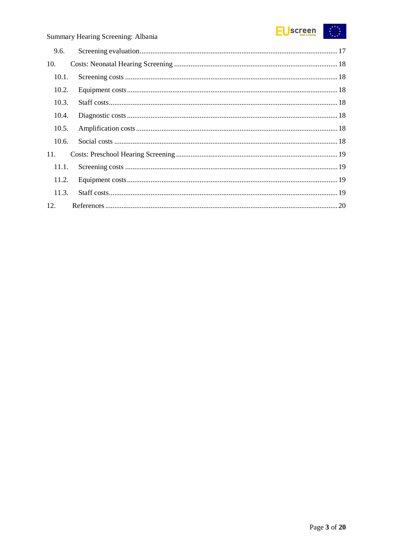#### EUscreen  $\begin{array}{c} \star^{\star\star}\star_\star\\ \star\\ \star_{\star\ldots\star} \end{array}$

## Summary Hearing Screening: Albania

| 9.6.  |  |
|-------|--|
| 10.   |  |
| 10.1. |  |
| 10.2. |  |
| 10.3. |  |
| 10.4. |  |
| 10.5. |  |
| 10.6. |  |
| 11.   |  |
| 11.1. |  |
| 11.2. |  |
| 11.3. |  |
| 12.   |  |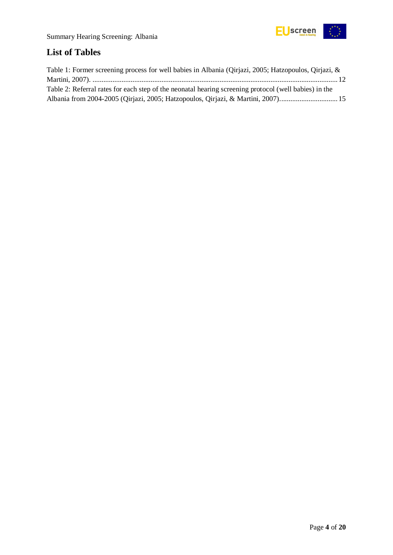

## <span id="page-3-0"></span>**List of Tables**

| Table 1: Former screening process for well babies in Albania (Qirjazi, 2005; Hatzopoulos, Qirjazi, &  |  |
|-------------------------------------------------------------------------------------------------------|--|
|                                                                                                       |  |
| Table 2: Referral rates for each step of the neonatal hearing screening protocol (well babies) in the |  |
| Albania from 2004-2005 (Qirjazi, 2005; Hatzopoulos, Qirjazi, & Martini, 2007) 15                      |  |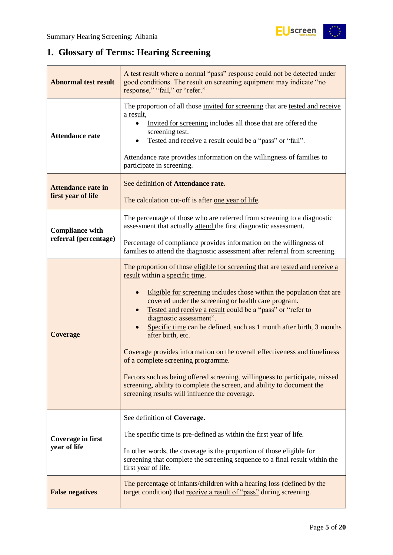## <span id="page-4-0"></span>**1. Glossary of Terms: Hearing Screening**

| <b>Abnormal test result</b>                     | A test result where a normal "pass" response could not be detected under<br>good conditions. The result on screening equipment may indicate "no<br>response," "fail," or "refer."                                                                                                                                                                                                                                                                                                                                                                                                                                                                                                                                                                                |  |  |
|-------------------------------------------------|------------------------------------------------------------------------------------------------------------------------------------------------------------------------------------------------------------------------------------------------------------------------------------------------------------------------------------------------------------------------------------------------------------------------------------------------------------------------------------------------------------------------------------------------------------------------------------------------------------------------------------------------------------------------------------------------------------------------------------------------------------------|--|--|
| <b>Attendance rate</b>                          | The proportion of all those invited for screening that are tested and receive<br>a result,<br>Invited for screening includes all those that are offered the<br>screening test.<br>Tested and receive a result could be a "pass" or "fail".<br>Attendance rate provides information on the willingness of families to<br>participate in screening.                                                                                                                                                                                                                                                                                                                                                                                                                |  |  |
| <b>Attendance rate in</b><br>first year of life | See definition of Attendance rate.<br>The calculation cut-off is after one year of life.                                                                                                                                                                                                                                                                                                                                                                                                                                                                                                                                                                                                                                                                         |  |  |
| <b>Compliance with</b>                          | The percentage of those who are referred from screening to a diagnostic<br>assessment that actually attend the first diagnostic assessment.                                                                                                                                                                                                                                                                                                                                                                                                                                                                                                                                                                                                                      |  |  |
| referral (percentage)                           | Percentage of compliance provides information on the willingness of<br>families to attend the diagnostic assessment after referral from screening.                                                                                                                                                                                                                                                                                                                                                                                                                                                                                                                                                                                                               |  |  |
| <b>Coverage</b>                                 | The proportion of those eligible for screening that are tested and receive a<br>result within a specific time.<br>Eligible for screening includes those within the population that are<br>covered under the screening or health care program.<br>Tested and receive a result could be a "pass" or "refer to<br>diagnostic assessment".<br>Specific time can be defined, such as 1 month after birth, 3 months<br>after birth, etc.<br>Coverage provides information on the overall effectiveness and timeliness<br>of a complete screening programme.<br>Factors such as being offered screening, willingness to participate, missed<br>screening, ability to complete the screen, and ability to document the<br>screening results will influence the coverage. |  |  |
| <b>Coverage in first</b><br>year of life        | See definition of Coverage.<br>The specific time is pre-defined as within the first year of life.<br>In other words, the coverage is the proportion of those eligible for<br>screening that complete the screening sequence to a final result within the<br>first year of life.                                                                                                                                                                                                                                                                                                                                                                                                                                                                                  |  |  |
| <b>False negatives</b>                          | The percentage of infants/children with a hearing loss (defined by the<br>target condition) that receive a result of "pass" during screening.                                                                                                                                                                                                                                                                                                                                                                                                                                                                                                                                                                                                                    |  |  |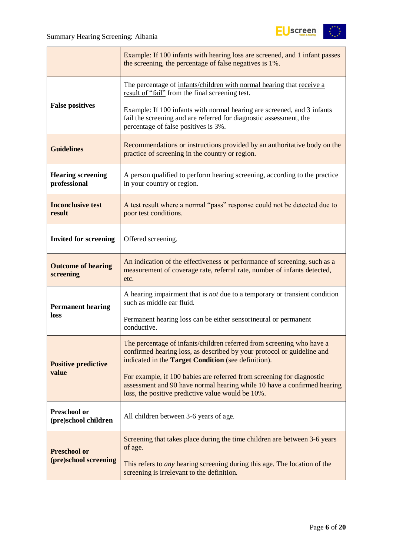

|                                             | Example: If 100 infants with hearing loss are screened, and 1 infant passes<br>the screening, the percentage of false negatives is 1%.                                                                        |  |  |
|---------------------------------------------|---------------------------------------------------------------------------------------------------------------------------------------------------------------------------------------------------------------|--|--|
|                                             | The percentage of infants/children with normal hearing that receive a<br>result of "fail" from the final screening test.                                                                                      |  |  |
| <b>False positives</b>                      | Example: If 100 infants with normal hearing are screened, and 3 infants<br>fail the screening and are referred for diagnostic assessment, the<br>percentage of false positives is 3%.                         |  |  |
| <b>Guidelines</b>                           | Recommendations or instructions provided by an authoritative body on the<br>practice of screening in the country or region.                                                                                   |  |  |
| <b>Hearing screening</b><br>professional    | A person qualified to perform hearing screening, according to the practice<br>in your country or region.                                                                                                      |  |  |
| <b>Inconclusive test</b><br>result          | A test result where a normal "pass" response could not be detected due to<br>poor test conditions.                                                                                                            |  |  |
| <b>Invited for screening</b>                | Offered screening.                                                                                                                                                                                            |  |  |
| <b>Outcome of hearing</b><br>screening      | An indication of the effectiveness or performance of screening, such as a<br>measurement of coverage rate, referral rate, number of infants detected,<br>etc.                                                 |  |  |
| <b>Permanent hearing</b>                    | A hearing impairment that is <i>not</i> due to a temporary or transient condition<br>such as middle ear fluid.                                                                                                |  |  |
| loss                                        | Permanent hearing loss can be either sensorineural or permanent<br>conductive.                                                                                                                                |  |  |
| <b>Positive predictive</b>                  | The percentage of infants/children referred from screening who have a<br>confirmed hearing loss, as described by your protocol or guideline and<br>indicated in the <b>Target Condition</b> (see definition). |  |  |
| value                                       | For example, if 100 babies are referred from screening for diagnostic<br>assessment and 90 have normal hearing while 10 have a confirmed hearing<br>loss, the positive predictive value would be 10%.         |  |  |
| <b>Preschool or</b><br>(pre)school children | All children between 3-6 years of age.                                                                                                                                                                        |  |  |
| <b>Preschool or</b>                         | Screening that takes place during the time children are between 3-6 years<br>of age.                                                                                                                          |  |  |
| (pre)school screening                       | This refers to <i>any</i> hearing screening during this age. The location of the<br>screening is irrelevant to the definition.                                                                                |  |  |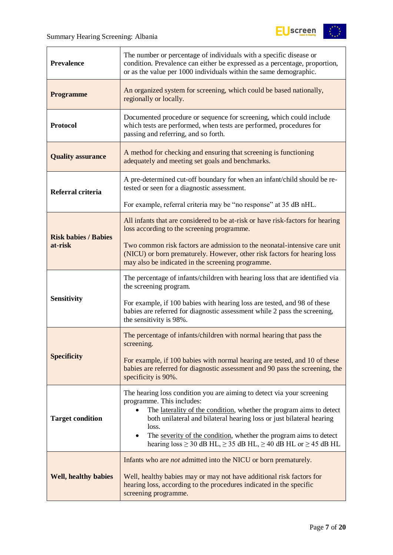

| <b>Prevalence</b>           | The number or percentage of individuals with a specific disease or<br>condition. Prevalence can either be expressed as a percentage, proportion,<br>or as the value per 1000 individuals within the same demographic.                                                                                                                                                                                             |  |  |
|-----------------------------|-------------------------------------------------------------------------------------------------------------------------------------------------------------------------------------------------------------------------------------------------------------------------------------------------------------------------------------------------------------------------------------------------------------------|--|--|
| <b>Programme</b>            | An organized system for screening, which could be based nationally,<br>regionally or locally.                                                                                                                                                                                                                                                                                                                     |  |  |
| <b>Protocol</b>             | Documented procedure or sequence for screening, which could include<br>which tests are performed, when tests are performed, procedures for<br>passing and referring, and so forth.                                                                                                                                                                                                                                |  |  |
| <b>Quality assurance</b>    | A method for checking and ensuring that screening is functioning<br>adequately and meeting set goals and benchmarks.                                                                                                                                                                                                                                                                                              |  |  |
| Referral criteria           | A pre-determined cut-off boundary for when an infant/child should be re-<br>tested or seen for a diagnostic assessment.                                                                                                                                                                                                                                                                                           |  |  |
|                             | For example, referral criteria may be "no response" at 35 dB nHL.                                                                                                                                                                                                                                                                                                                                                 |  |  |
| <b>Risk babies / Babies</b> | All infants that are considered to be at-risk or have risk-factors for hearing<br>loss according to the screening programme.                                                                                                                                                                                                                                                                                      |  |  |
| at-risk                     | Two common risk factors are admission to the neonatal-intensive care unit<br>(NICU) or born prematurely. However, other risk factors for hearing loss<br>may also be indicated in the screening programme.                                                                                                                                                                                                        |  |  |
|                             | The percentage of infants/children with hearing loss that are identified via<br>the screening program.                                                                                                                                                                                                                                                                                                            |  |  |
| <b>Sensitivity</b>          | For example, if 100 babies with hearing loss are tested, and 98 of these<br>babies are referred for diagnostic assessment while 2 pass the screening,<br>the sensitivity is 98%.                                                                                                                                                                                                                                  |  |  |
|                             | The percentage of infants/children with normal hearing that pass the<br>screening.                                                                                                                                                                                                                                                                                                                                |  |  |
| <b>Specificity</b>          | For example, if 100 babies with normal hearing are tested, and 10 of these<br>babies are referred for diagnostic assessment and 90 pass the screening, the<br>specificity is 90%.                                                                                                                                                                                                                                 |  |  |
| <b>Target condition</b>     | The hearing loss condition you are aiming to detect via your screening<br>programme. This includes:<br>The laterality of the condition, whether the program aims to detect<br>both unilateral and bilateral hearing loss or just bilateral hearing<br>loss.<br>The severity of the condition, whether the program aims to detect<br>hearing $loss \ge 30$ dB HL, $\ge 35$ dB HL, $\ge 40$ dB HL or $\ge 45$ dB HL |  |  |
| <b>Well, healthy babies</b> | Infants who are <i>not</i> admitted into the NICU or born prematurely.<br>Well, healthy babies may or may not have additional risk factors for<br>hearing loss, according to the procedures indicated in the specific<br>screening programme.                                                                                                                                                                     |  |  |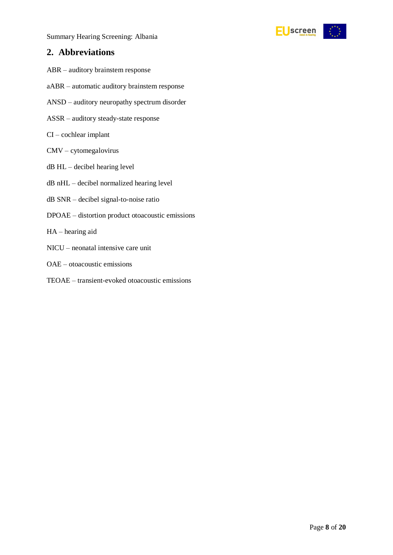Summary Hearing Screening: Albania



## <span id="page-7-0"></span>**2. Abbreviations**

- ABR auditory brainstem response
- aABR automatic auditory brainstem response
- ANSD auditory neuropathy spectrum disorder
- ASSR auditory steady-state response
- CI cochlear implant
- CMV cytomegalovirus
- dB HL decibel hearing level
- dB nHL decibel normalized hearing level
- dB SNR decibel signal-to-noise ratio
- DPOAE distortion product otoacoustic emissions
- HA hearing aid
- NICU neonatal intensive care unit
- OAE otoacoustic emissions
- TEOAE transient-evoked otoacoustic emissions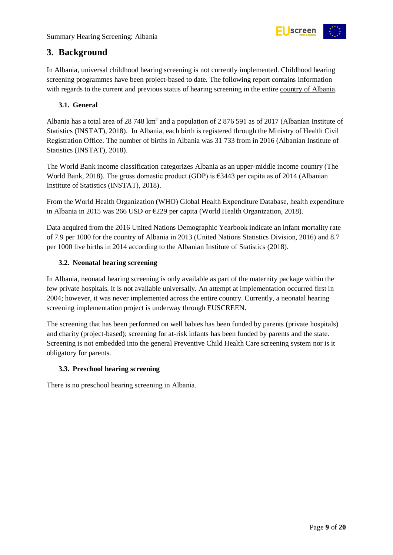

## <span id="page-8-0"></span>**3. Background**

In Albania, universal childhood hearing screening is not currently implemented. Childhood hearing screening programmes have been project-based to date. The following report contains information with regards to the current and previous status of hearing screening in the entire country of Albania.

#### <span id="page-8-1"></span>**3.1. General**

Albania has a total area of 28 748 km<sup>2</sup> and a population of 2 876 591 as of 2017 (Albanian Institute of Statistics (INSTAT), 2018). In Albania, each birth is registered through the Ministry of Health Civil Registration Office. The number of births in Albania was 31 733 from in 2016 (Albanian Institute of Statistics (INSTAT), 2018).

The World Bank income classification categorizes Albania as an upper-middle income country (The World Bank, 2018). The gross domestic product (GDP) is €3443 per capita as of 2014 (Albanian Institute of Statistics (INSTAT), 2018).

From the World Health Organization (WHO) Global Health Expenditure Database, health expenditure in Albania in 2015 was 266 USD or €229 per capita (World Health Organization, 2018).

Data acquired from the 2016 United Nations Demographic Yearbook indicate an infant mortality rate of 7.9 per 1000 for the country of Albania in 2013 (United Nations Statistics Division, 2016) and 8.7 per 1000 live births in 2014 according to the Albanian Institute of Statistics (2018).

#### <span id="page-8-2"></span>**3.2. Neonatal hearing screening**

In Albania, neonatal hearing screening is only available as part of the maternity package within the few private hospitals. It is not available universally. An attempt at implementation occurred first in 2004; however, it was never implemented across the entire country. Currently, a neonatal hearing screening implementation project is underway through EUSCREEN.

The screening that has been performed on well babies has been funded by parents (private hospitals) and charity (project-based); screening for at-risk infants has been funded by parents and the state. Screening is not embedded into the general Preventive Child Health Care screening system nor is it obligatory for parents.

#### <span id="page-8-3"></span>**3.3. Preschool hearing screening**

There is no preschool hearing screening in Albania.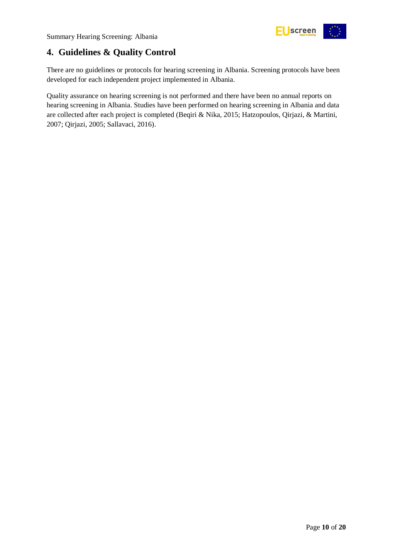

## <span id="page-9-0"></span>**4. Guidelines & Quality Control**

There are no guidelines or protocols for hearing screening in Albania. Screening protocols have been developed for each independent project implemented in Albania.

Quality assurance on hearing screening is not performed and there have been no annual reports on hearing screening in Albania. Studies have been performed on hearing screening in Albania and data are collected after each project is completed (Beqiri & Nika, 2015; Hatzopoulos, Qirjazi, & Martini, 2007; Qirjazi, 2005; Sallavaci, 2016).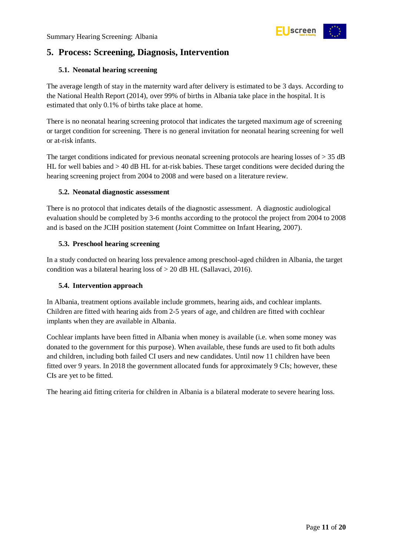

## <span id="page-10-0"></span>**5. Process: Screening, Diagnosis, Intervention**

#### <span id="page-10-1"></span>**5.1. Neonatal hearing screening**

The average length of stay in the maternity ward after delivery is estimated to be 3 days. According to the National Health Report (2014), over 99% of births in Albania take place in the hospital. It is estimated that only 0.1% of births take place at home.

There is no neonatal hearing screening protocol that indicates the targeted maximum age of screening or target condition for screening. There is no general invitation for neonatal hearing screening for well or at-risk infants.

The target conditions indicated for previous neonatal screening protocols are hearing losses of  $>$  35 dB HL for well babies and > 40 dB HL for at-risk babies. These target conditions were decided during the hearing screening project from 2004 to 2008 and were based on a literature review.

#### <span id="page-10-2"></span>**5.2. Neonatal diagnostic assessment**

There is no protocol that indicates details of the diagnostic assessment. A diagnostic audiological evaluation should be completed by 3-6 months according to the protocol the project from 2004 to 2008 and is based on the JCIH position statement (Joint Committee on Infant Hearing, 2007).

#### <span id="page-10-3"></span>**5.3. Preschool hearing screening**

In a study conducted on hearing loss prevalence among preschool-aged children in Albania, the target condition was a bilateral hearing loss of  $> 20$  dB HL (Sallavaci, 2016).

#### <span id="page-10-4"></span>**5.4. Intervention approach**

In Albania, treatment options available include grommets, hearing aids, and cochlear implants. Children are fitted with hearing aids from 2-5 years of age, and children are fitted with cochlear implants when they are available in Albania.

Cochlear implants have been fitted in Albania when money is available (i.e. when some money was donated to the government for this purpose). When available, these funds are used to fit both adults and children, including both failed CI users and new candidates. Until now 11 children have been fitted over 9 years. In 2018 the government allocated funds for approximately 9 CIs; however, these CIs are yet to be fitted.

The hearing aid fitting criteria for children in Albania is a bilateral moderate to severe hearing loss.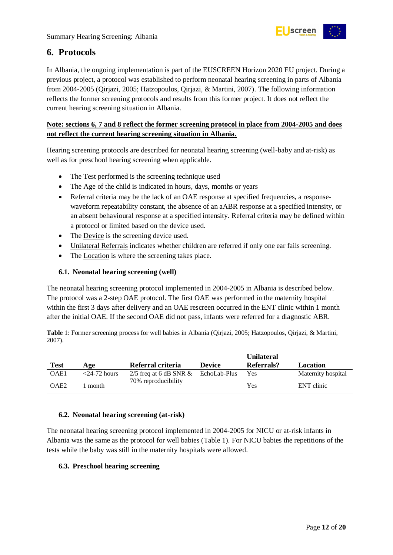

## <span id="page-11-0"></span>**6. Protocols**

In Albania, the ongoing implementation is part of the EUSCREEN Horizon 2020 EU project. During a previous project, a protocol was established to perform neonatal hearing screening in parts of Albania from 2004-2005 (Qirjazi, 2005; Hatzopoulos, Qirjazi, & Martini, 2007). The following information reflects the former screening protocols and results from this former project. It does not reflect the current hearing screening situation in Albania.

#### **Note: sections 6, 7 and 8 reflect the former screening protocol in place from 2004-2005 and does not reflect the current hearing screening situation in Albania.**

Hearing screening protocols are described for neonatal hearing screening (well-baby and at-risk) as well as for preschool hearing screening when applicable.

- The Test performed is the screening technique used
- The Age of the child is indicated in hours, days, months or years
- Referral criteria may be the lack of an OAE response at specified frequencies, a responsewaveform repeatability constant, the absence of an aABR response at a specified intensity, or an absent behavioural response at a specified intensity. Referral criteria may be defined within a protocol or limited based on the device used.
- The Device is the screening device used.
- Unilateral Referrals indicates whether children are referred if only one ear fails screening.
- The Location is where the screening takes place.

#### <span id="page-11-1"></span>**6.1. Neonatal hearing screening (well)**

The neonatal hearing screening protocol implemented in 2004-2005 in Albania is described below. The protocol was a 2-step OAE protocol. The first OAE was performed in the maternity hospital within the first 3 days after delivery and an OAE rescreen occurred in the ENT clinic within 1 month after the initial OAE. If the second OAE did not pass, infants were referred for a diagnostic ABR.

<span id="page-11-4"></span>**Table** 1: Former screening process for well babies in Albania (Qirjazi, 2005; Hatzopoulos, Qirjazi, & Martini, 2007).

|                  |                 |                                          |               | <b>Unilateral</b> |                    |
|------------------|-----------------|------------------------------------------|---------------|-------------------|--------------------|
| Test             | Age             | Referral criteria                        | <b>Device</b> | Referrals?        | Location           |
| OAE1             | $<$ 24-72 hours | $2/5$ freq at 6 dB SNR $\&$ EchoLab-Plus |               | Yes               | Maternity hospital |
| OAE <sub>2</sub> | month           | 70% reproducibility                      |               | Yes               | ENT clinic         |

#### <span id="page-11-2"></span>**6.2. Neonatal hearing screening (at-risk)**

The neonatal hearing screening protocol implemented in 2004-2005 for NICU or at-risk infants in Albania was the same as the protocol for well babies (Table 1). For NICU babies the repetitions of the tests while the baby was still in the maternity hospitals were allowed.

#### <span id="page-11-3"></span>**6.3. Preschool hearing screening**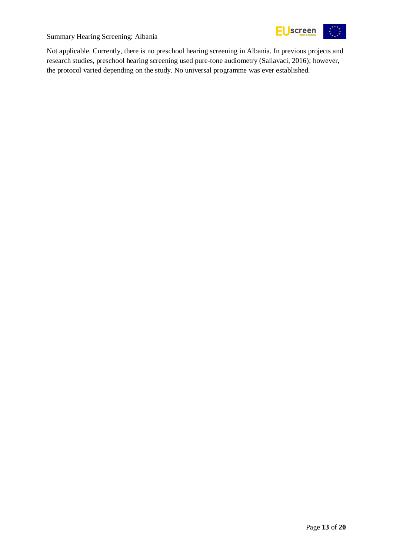

Summary Hearing Screening: Albania

Not applicable. Currently, there is no preschool hearing screening in Albania. In previous projects and research studies, preschool hearing screening used pure-tone audiometry (Sallavaci, 2016); however, the protocol varied depending on the study. No universal programme was ever established.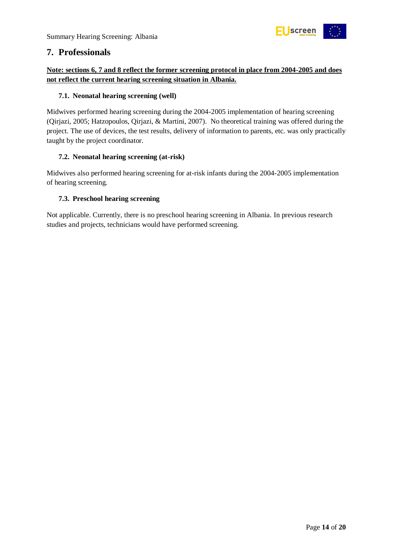

## <span id="page-13-0"></span>**7. Professionals**

#### **Note: sections 6, 7 and 8 reflect the former screening protocol in place from 2004-2005 and does not reflect the current hearing screening situation in Albania.**

#### <span id="page-13-1"></span>**7.1. Neonatal hearing screening (well)**

Midwives performed hearing screening during the 2004-2005 implementation of hearing screening (Qirjazi, 2005; Hatzopoulos, Qirjazi, & Martini, 2007). No theoretical training was offered during the project. The use of devices, the test results, delivery of information to parents, etc. was only practically taught by the project coordinator.

#### <span id="page-13-2"></span>**7.2. Neonatal hearing screening (at-risk)**

Midwives also performed hearing screening for at-risk infants during the 2004-2005 implementation of hearing screening.

#### <span id="page-13-3"></span>**7.3. Preschool hearing screening**

Not applicable. Currently, there is no preschool hearing screening in Albania. In previous research studies and projects, technicians would have performed screening.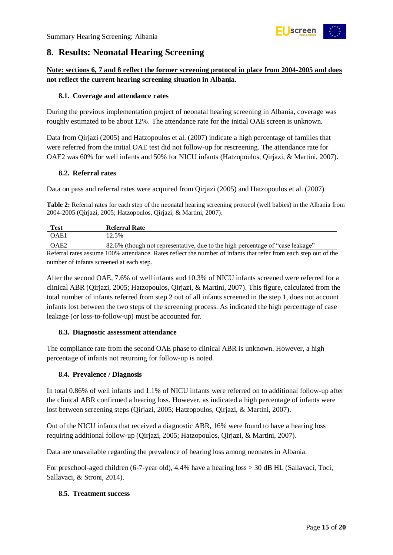

## <span id="page-14-0"></span>**8. Results: Neonatal Hearing Screening**

#### **Note: sections 6, 7 and 8 reflect the former screening protocol in place from 2004-2005 and does not reflect the current hearing screening situation in Albania.**

#### <span id="page-14-1"></span>**8.1. Coverage and attendance rates**

During the previous implementation project of neonatal hearing screening in Albania, coverage was roughly estimated to be about 12%. The attendance rate for the initial OAE screen is unknown.

Data from Qirjazi (2005) and Hatzopoulos et al. (2007) indicate a high percentage of families that were referred from the initial OAE test did not follow-up for rescreening. The attendance rate for OAE2 was 60% for well infants and 50% for NICU infants (Hatzopoulos, Qirjazi, & Martini, 2007).

#### <span id="page-14-2"></span>**8.2. Referral rates**

Data on pass and referral rates were acquired from Qirjazi (2005) and Hatzopoulos et al. (2007)

<span id="page-14-6"></span>**Table 2:** Referral rates for each step of the neonatal hearing screening protocol (well babies) in the Albania from 2004-2005 (Qirjazi, 2005; Hatzopoulos, Qirjazi, & Martini, 2007).

| <b>Test</b> | Referral Rate                                                                                                  |
|-------------|----------------------------------------------------------------------------------------------------------------|
| OAE1        | 12.5%                                                                                                          |
| OAE2        | 82.6% (though not representative, due to the high percentage of "case leakage"                                 |
|             | Referral rates assume 100% attendance Rates reflect the number of infants that refer from each step out of the |

Referral rates assume 100% attendance. Rates reflect the number of infants that refer from each step out of the number of infants screened at each step.

After the second OAE, 7.6% of well infants and 10.3% of NICU infants screened were referred for a clinical ABR (Qirjazi, 2005; Hatzopoulos, Qirjazi, & Martini, 2007). This figure, calculated from the total number of infants referred from step 2 out of all infants screened in the step 1, does not account infants lost between the two steps of the screening process. As indicated the high percentage of case leakage (or loss-to-follow-up) must be accounted for.

#### <span id="page-14-3"></span>**8.3. Diagnostic assessment attendance**

The compliance rate from the second OAE phase to clinical ABR is unknown. However, a high percentage of infants not returning for follow-up is noted.

#### <span id="page-14-4"></span>**8.4. Prevalence / Diagnosis**

In total 0.86% of well infants and 1.1% of NICU infants were referred on to additional follow-up after the clinical ABR confirmed a hearing loss. However, as indicated a high percentage of infants were lost between screening steps (Qirjazi, 2005; Hatzopoulos, Qirjazi, & Martini, 2007).

Out of the NICU infants that received a diagnostic ABR, 16% were found to have a hearing loss requiring additional follow-up (Qirjazi, 2005; Hatzopoulos, Qirjazi, & Martini, 2007).

Data are unavailable regarding the prevalence of hearing loss among neonates in Albania.

For preschool-aged children (6-7-year old), 4.4% have a hearing loss > 30 dB HL (Sallavaci, Toci, Sallavaci, & Stroni, 2014).

#### <span id="page-14-5"></span>**8.5. Treatment success**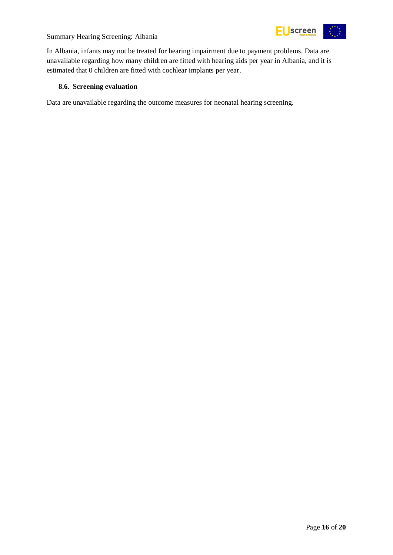

Summary Hearing Screening: Albania

In Albania, infants may not be treated for hearing impairment due to payment problems. Data are unavailable regarding how many children are fitted with hearing aids per year in Albania, and it is estimated that 0 children are fitted with cochlear implants per year.

#### <span id="page-15-0"></span>**8.6. Screening evaluation**

Data are unavailable regarding the outcome measures for neonatal hearing screening.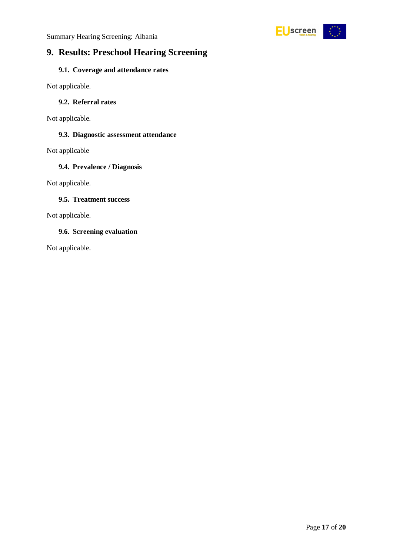

## <span id="page-16-0"></span>**9. Results: Preschool Hearing Screening**

#### <span id="page-16-1"></span>**9.1. Coverage and attendance rates**

Not applicable.

#### <span id="page-16-2"></span>**9.2. Referral rates**

Not applicable.

#### <span id="page-16-3"></span>**9.3. Diagnostic assessment attendance**

Not applicable

#### <span id="page-16-4"></span>**9.4. Prevalence / Diagnosis**

Not applicable.

#### <span id="page-16-5"></span>**9.5. Treatment success**

Not applicable.

#### <span id="page-16-6"></span>**9.6. Screening evaluation**

Not applicable.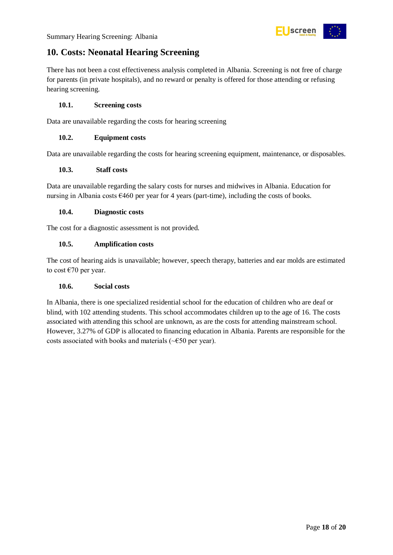

## <span id="page-17-0"></span>**10. Costs: Neonatal Hearing Screening**

There has not been a cost effectiveness analysis completed in Albania. Screening is not free of charge for parents (in private hospitals), and no reward or penalty is offered for those attending or refusing hearing screening.

#### <span id="page-17-1"></span>**10.1. Screening costs**

Data are unavailable regarding the costs for hearing screening

#### <span id="page-17-2"></span>**10.2. Equipment costs**

Data are unavailable regarding the costs for hearing screening equipment, maintenance, or disposables.

#### <span id="page-17-3"></span>**10.3. Staff costs**

Data are unavailable regarding the salary costs for nurses and midwives in Albania. Education for nursing in Albania costs €460 per year for 4 years (part-time), including the costs of books.

#### <span id="page-17-4"></span>**10.4. Diagnostic costs**

The cost for a diagnostic assessment is not provided.

#### <span id="page-17-5"></span>**10.5. Amplification costs**

The cost of hearing aids is unavailable; however, speech therapy, batteries and ear molds are estimated to cost €70 per year.

#### <span id="page-17-6"></span>**10.6. Social costs**

In Albania, there is one specialized residential school for the education of children who are deaf or blind, with 102 attending students. This school accommodates children up to the age of 16. The costs associated with attending this school are unknown, as are the costs for attending mainstream school. However, 3.27% of GDP is allocated to financing education in Albania. Parents are responsible for the costs associated with books and materials (~€50 per year).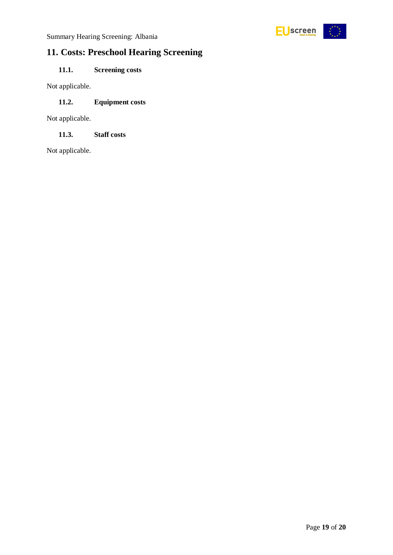

## <span id="page-18-0"></span>**11. Costs: Preschool Hearing Screening**

### <span id="page-18-1"></span>**11.1. Screening costs**

Not applicable.

#### <span id="page-18-2"></span>**11.2. Equipment costs**

Not applicable.

<span id="page-18-3"></span>**11.3. Staff costs**

Not applicable.